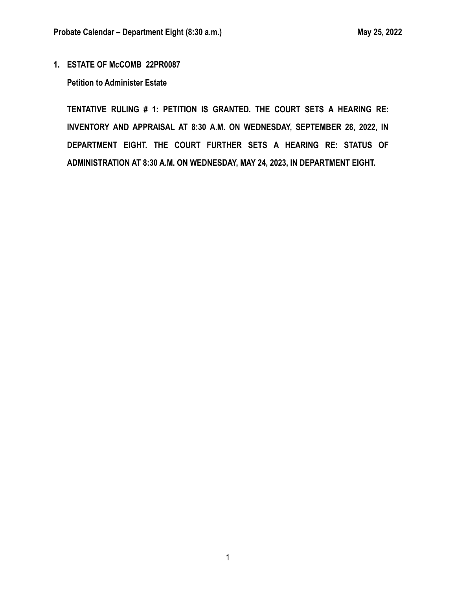**1. ESTATE OF McCOMB 22PR0087**

**Petition to Administer Estate**

**TENTATIVE RULING # 1: PETITION IS GRANTED. THE COURT SETS A HEARING RE: INVENTORY AND APPRAISAL AT 8:30 A.M. ON WEDNESDAY, SEPTEMBER 28, 2022, IN DEPARTMENT EIGHT. THE COURT FURTHER SETS A HEARING RE: STATUS OF ADMINISTRATION AT 8:30 A.M. ON WEDNESDAY, MAY 24, 2023, IN DEPARTMENT EIGHT.**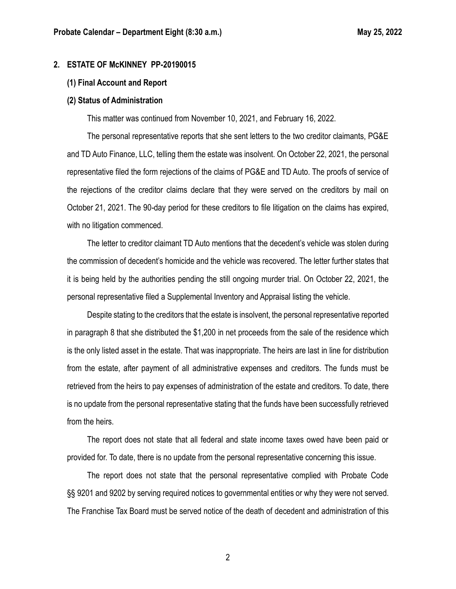#### **2. ESTATE OF McKINNEY PP-20190015**

#### **(1) Final Account and Report**

#### **(2) Status of Administration**

This matter was continued from November 10, 2021, and February 16, 2022.

The personal representative reports that she sent letters to the two creditor claimants, PG&E and TD Auto Finance, LLC, telling them the estate was insolvent. On October 22, 2021, the personal representative filed the form rejections of the claims of PG&E and TD Auto. The proofs of service of the rejections of the creditor claims declare that they were served on the creditors by mail on October 21, 2021. The 90-day period for these creditors to file litigation on the claims has expired, with no litigation commenced.

The letter to creditor claimant TD Auto mentions that the decedent's vehicle was stolen during the commission of decedent's homicide and the vehicle was recovered. The letter further states that it is being held by the authorities pending the still ongoing murder trial. On October 22, 2021, the personal representative filed a Supplemental Inventory and Appraisal listing the vehicle.

Despite stating to the creditors that the estate is insolvent, the personal representative reported in paragraph 8 that she distributed the \$1,200 in net proceeds from the sale of the residence which is the only listed asset in the estate. That was inappropriate. The heirs are last in line for distribution from the estate, after payment of all administrative expenses and creditors. The funds must be retrieved from the heirs to pay expenses of administration of the estate and creditors. To date, there is no update from the personal representative stating that the funds have been successfully retrieved from the heirs.

The report does not state that all federal and state income taxes owed have been paid or provided for. To date, there is no update from the personal representative concerning this issue.

The report does not state that the personal representative complied with Probate Code §§ 9201 and 9202 by serving required notices to governmental entities or why they were not served. The Franchise Tax Board must be served notice of the death of decedent and administration of this

2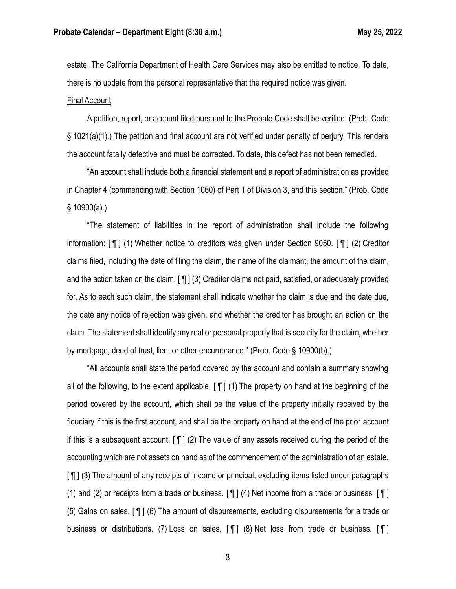estate. The California Department of Health Care Services may also be entitled to notice. To date, there is no update from the personal representative that the required notice was given.

#### Final Account

A petition, report, or account filed pursuant to the Probate Code shall be verified. (Prob. Code § 1021(a)(1).) The petition and final account are not verified under penalty of perjury. This renders the account fatally defective and must be corrected. To date, this defect has not been remedied.

"An account shall include both a financial statement and a report of administration as provided in Chapter 4 (commencing with Section 1060) of Part 1 of Division 3, and this section." (Prob. Code  $§ 10900(a).$ 

"The statement of liabilities in the report of administration shall include the following information: [ ¶ ] (1) Whether notice to creditors was given under Section 9050. [ ¶ ] (2) Creditor claims filed, including the date of filing the claim, the name of the claimant, the amount of the claim, and the action taken on the claim. [ ¶ ] (3) Creditor claims not paid, satisfied, or adequately provided for. As to each such claim, the statement shall indicate whether the claim is due and the date due, the date any notice of rejection was given, and whether the creditor has brought an action on the claim. The statement shall identify any real or personal property that is security for the claim, whether by mortgage, deed of trust, lien, or other encumbrance." (Prob. Code § 10900(b).)

"All accounts shall state the period covered by the account and contain a summary showing all of the following, to the extent applicable: [ ¶ ] (1) The property on hand at the beginning of the period covered by the account, which shall be the value of the property initially received by the fiduciary if this is the first account, and shall be the property on hand at the end of the prior account if this is a subsequent account.  $[\n\Pi]$  (2) The value of any assets received during the period of the accounting which are not assets on hand as of the commencement of the administration of an estate. [ ¶ ] (3) The amount of any receipts of income or principal, excluding items listed under paragraphs (1) and (2) or receipts from a trade or business.  $[\P]$  (4) Net income from a trade or business.  $[\P]$ (5) Gains on sales. [ ¶ ] (6) The amount of disbursements, excluding disbursements for a trade or business or distributions. (7) Loss on sales. [ ¶ ] (8) Net loss from trade or business. [ ¶ ]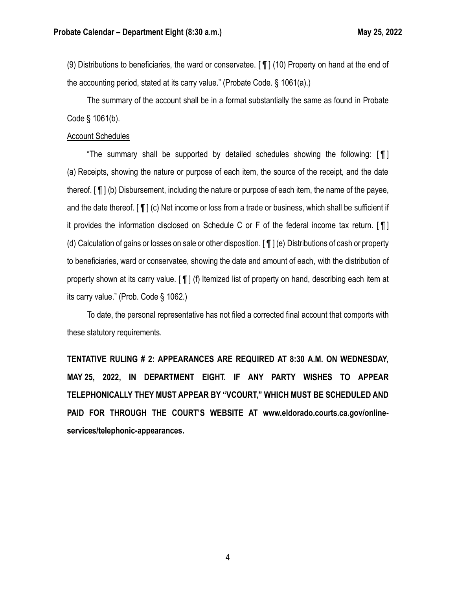(9) Distributions to beneficiaries, the ward or conservatee. [ ¶ ] (10) Property on hand at the end of the accounting period, stated at its carry value." (Probate Code. § 1061(a).)

The summary of the account shall be in a format substantially the same as found in Probate Code § 1061(b).

#### Account Schedules

"The summary shall be supported by detailed schedules showing the following:  $\llbracket \P \rrbracket$ (a) Receipts, showing the nature or purpose of each item, the source of the receipt, and the date thereof. [ ¶ ] (b) Disbursement, including the nature or purpose of each item, the name of the payee, and the date thereof. [ ¶ ] (c) Net income or loss from a trade or business, which shall be sufficient if it provides the information disclosed on Schedule C or F of the federal income tax return. [ ¶ ] (d) Calculation of gains or losses on sale or other disposition. [ ¶ ] (e) Distributions of cash or property to beneficiaries, ward or conservatee, showing the date and amount of each, with the distribution of property shown at its carry value. [ ¶ ] (f) Itemized list of property on hand, describing each item at its carry value." (Prob. Code § 1062.)

To date, the personal representative has not filed a corrected final account that comports with these statutory requirements.

**TENTATIVE RULING # 2: APPEARANCES ARE REQUIRED AT 8:30 A.M. ON WEDNESDAY, MAY 25, 2022, IN DEPARTMENT EIGHT. IF ANY PARTY WISHES TO APPEAR TELEPHONICALLY THEY MUST APPEAR BY "VCOURT," WHICH MUST BE SCHEDULED AND PAID FOR THROUGH THE COURT'S WEBSITE AT www.eldorado.courts.ca.gov/onlineservices/telephonic-appearances.**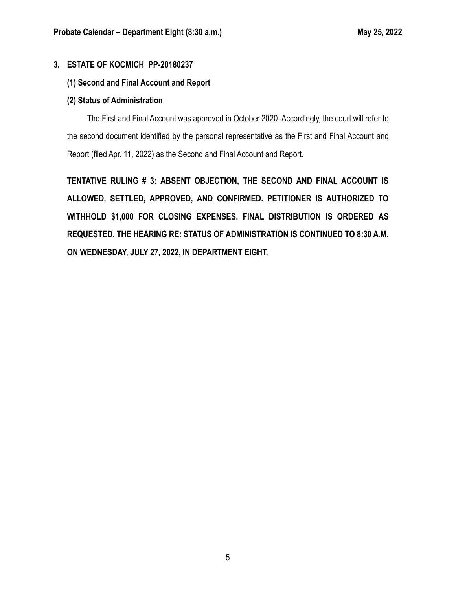## **3. ESTATE OF KOCMICH PP-20180237**

## **(1) Second and Final Account and Report**

### **(2) Status of Administration**

The First and Final Account was approved in October 2020. Accordingly, the court will refer to the second document identified by the personal representative as the First and Final Account and Report (filed Apr. 11, 2022) as the Second and Final Account and Report.

**TENTATIVE RULING # 3: ABSENT OBJECTION, THE SECOND AND FINAL ACCOUNT IS ALLOWED, SETTLED, APPROVED, AND CONFIRMED. PETITIONER IS AUTHORIZED TO WITHHOLD \$1,000 FOR CLOSING EXPENSES. FINAL DISTRIBUTION IS ORDERED AS REQUESTED. THE HEARING RE: STATUS OF ADMINISTRATION IS CONTINUED TO 8:30 A.M. ON WEDNESDAY, JULY 27, 2022, IN DEPARTMENT EIGHT.**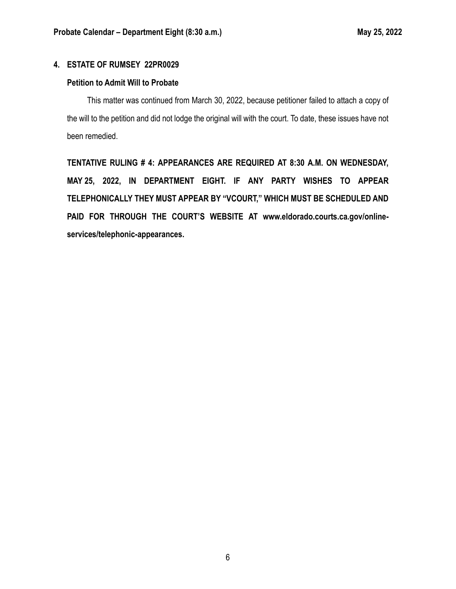# **4. ESTATE OF RUMSEY 22PR0029**

## **Petition to Admit Will to Probate**

This matter was continued from March 30, 2022, because petitioner failed to attach a copy of the will to the petition and did not lodge the original will with the court. To date, these issues have not been remedied.

**TENTATIVE RULING # 4: APPEARANCES ARE REQUIRED AT 8:30 A.M. ON WEDNESDAY, MAY 25, 2022, IN DEPARTMENT EIGHT. IF ANY PARTY WISHES TO APPEAR TELEPHONICALLY THEY MUST APPEAR BY "VCOURT," WHICH MUST BE SCHEDULED AND PAID FOR THROUGH THE COURT'S WEBSITE AT www.eldorado.courts.ca.gov/onlineservices/telephonic-appearances.**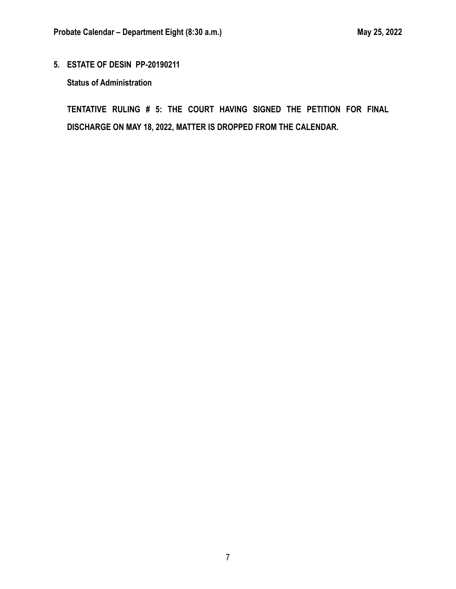**5. ESTATE OF DESIN PP-20190211**

**Status of Administration**

**TENTATIVE RULING # 5: THE COURT HAVING SIGNED THE PETITION FOR FINAL DISCHARGE ON MAY 18, 2022, MATTER IS DROPPED FROM THE CALENDAR.**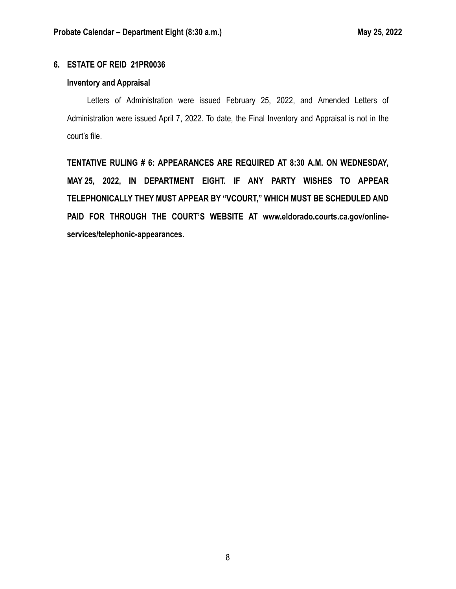# **6. ESTATE OF REID 21PR0036**

## **Inventory and Appraisal**

Letters of Administration were issued February 25, 2022, and Amended Letters of Administration were issued April 7, 2022. To date, the Final Inventory and Appraisal is not in the court's file.

**TENTATIVE RULING # 6: APPEARANCES ARE REQUIRED AT 8:30 A.M. ON WEDNESDAY, MAY 25, 2022, IN DEPARTMENT EIGHT. IF ANY PARTY WISHES TO APPEAR TELEPHONICALLY THEY MUST APPEAR BY "VCOURT," WHICH MUST BE SCHEDULED AND PAID FOR THROUGH THE COURT'S WEBSITE AT www.eldorado.courts.ca.gov/onlineservices/telephonic-appearances.**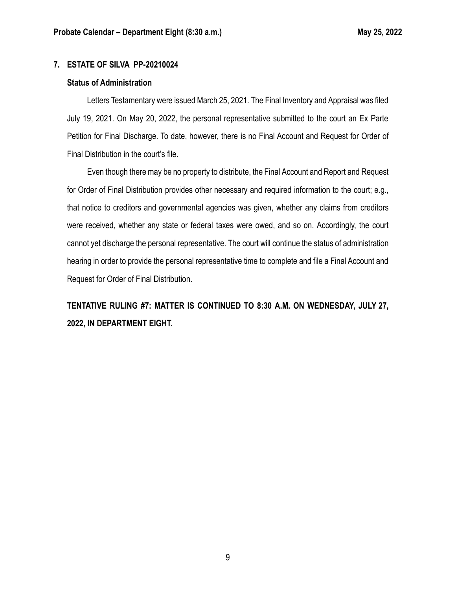## **7. ESTATE OF SILVA PP-20210024**

#### **Status of Administration**

Letters Testamentary were issued March 25, 2021. The Final Inventory and Appraisal was filed July 19, 2021. On May 20, 2022, the personal representative submitted to the court an Ex Parte Petition for Final Discharge. To date, however, there is no Final Account and Request for Order of Final Distribution in the court's file.

Even though there may be no property to distribute, the Final Account and Report and Request for Order of Final Distribution provides other necessary and required information to the court; e.g., that notice to creditors and governmental agencies was given, whether any claims from creditors were received, whether any state or federal taxes were owed, and so on. Accordingly, the court cannot yet discharge the personal representative. The court will continue the status of administration hearing in order to provide the personal representative time to complete and file a Final Account and Request for Order of Final Distribution.

**TENTATIVE RULING #7: MATTER IS CONTINUED TO 8:30 A.M. ON WEDNESDAY, JULY 27, 2022, IN DEPARTMENT EIGHT.**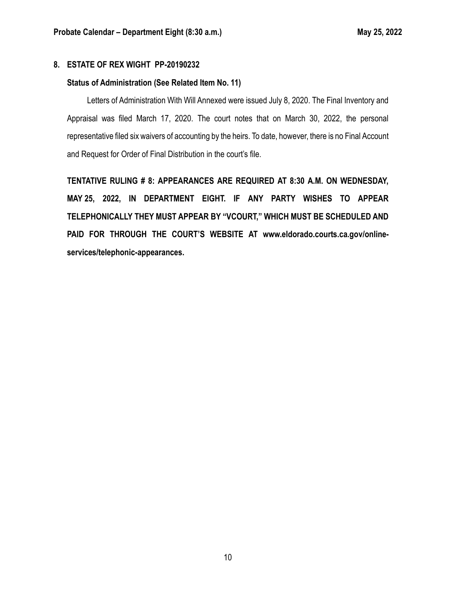## **8. ESTATE OF REX WIGHT PP-20190232**

### **Status of Administration (See Related Item No. 11)**

Letters of Administration With Will Annexed were issued July 8, 2020. The Final Inventory and Appraisal was filed March 17, 2020. The court notes that on March 30, 2022, the personal representative filed six waivers of accounting by the heirs. To date, however, there is no Final Account and Request for Order of Final Distribution in the court's file.

**TENTATIVE RULING # 8: APPEARANCES ARE REQUIRED AT 8:30 A.M. ON WEDNESDAY, MAY 25, 2022, IN DEPARTMENT EIGHT. IF ANY PARTY WISHES TO APPEAR TELEPHONICALLY THEY MUST APPEAR BY "VCOURT," WHICH MUST BE SCHEDULED AND PAID FOR THROUGH THE COURT'S WEBSITE AT www.eldorado.courts.ca.gov/onlineservices/telephonic-appearances.**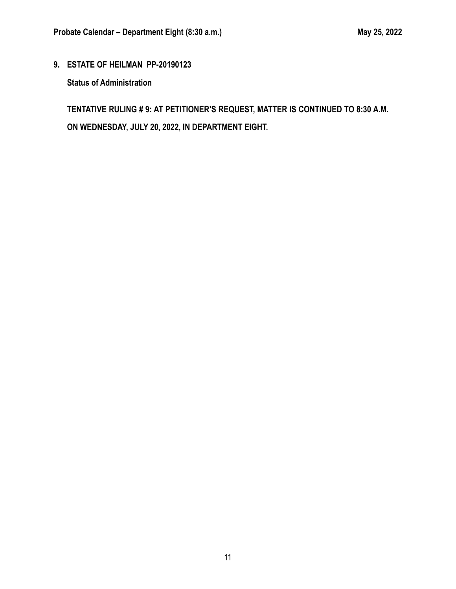**9. ESTATE OF HEILMAN PP-20190123**

**Status of Administration**

**TENTATIVE RULING # 9: AT PETITIONER'S REQUEST, MATTER IS CONTINUED TO 8:30 A.M. ON WEDNESDAY, JULY 20, 2022, IN DEPARTMENT EIGHT.**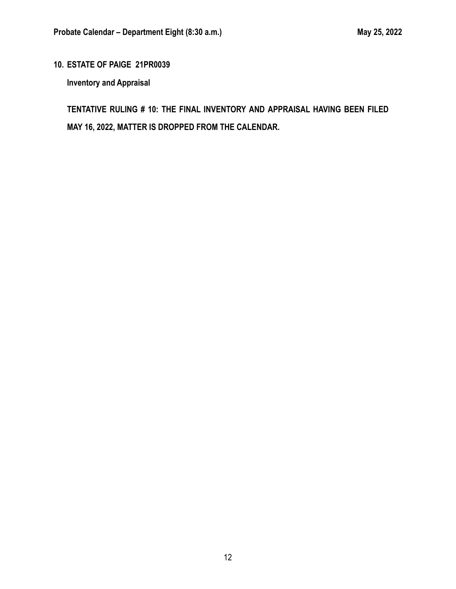# **10. ESTATE OF PAIGE 21PR0039**

**Inventory and Appraisal**

**TENTATIVE RULING # 10: THE FINAL INVENTORY AND APPRAISAL HAVING BEEN FILED MAY 16, 2022, MATTER IS DROPPED FROM THE CALENDAR.**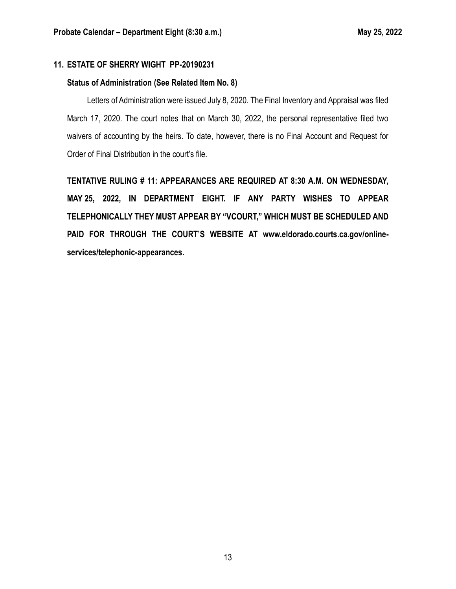# **11. ESTATE OF SHERRY WIGHT PP-20190231**

## **Status of Administration (See Related Item No. 8)**

Letters of Administration were issued July 8, 2020. The Final Inventory and Appraisal was filed March 17, 2020. The court notes that on March 30, 2022, the personal representative filed two waivers of accounting by the heirs. To date, however, there is no Final Account and Request for Order of Final Distribution in the court's file.

**TENTATIVE RULING # 11: APPEARANCES ARE REQUIRED AT 8:30 A.M. ON WEDNESDAY, MAY 25, 2022, IN DEPARTMENT EIGHT. IF ANY PARTY WISHES TO APPEAR TELEPHONICALLY THEY MUST APPEAR BY "VCOURT," WHICH MUST BE SCHEDULED AND PAID FOR THROUGH THE COURT'S WEBSITE AT www.eldorado.courts.ca.gov/onlineservices/telephonic-appearances.**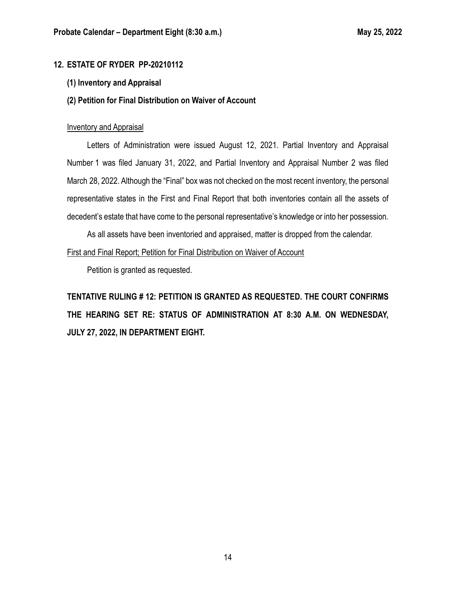# **12. ESTATE OF RYDER PP-20210112**

### **(1) Inventory and Appraisal**

### **(2) Petition for Final Distribution on Waiver of Account**

#### Inventory and Appraisal

Letters of Administration were issued August 12, 2021. Partial Inventory and Appraisal Number 1 was filed January 31, 2022, and Partial Inventory and Appraisal Number 2 was filed March 28, 2022. Although the "Final" box was not checked on the most recent inventory, the personal representative states in the First and Final Report that both inventories contain all the assets of decedent's estate that have come to the personal representative's knowledge or into her possession.

As all assets have been inventoried and appraised, matter is dropped from the calendar.

#### First and Final Report; Petition for Final Distribution on Waiver of Account

Petition is granted as requested.

**TENTATIVE RULING # 12: PETITION IS GRANTED AS REQUESTED. THE COURT CONFIRMS THE HEARING SET RE: STATUS OF ADMINISTRATION AT 8:30 A.M. ON WEDNESDAY, JULY 27, 2022, IN DEPARTMENT EIGHT.**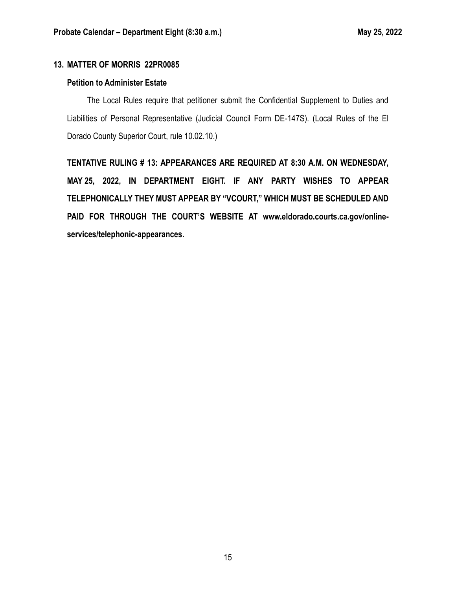# **13. MATTER OF MORRIS 22PR0085**

## **Petition to Administer Estate**

The Local Rules require that petitioner submit the Confidential Supplement to Duties and Liabilities of Personal Representative (Judicial Council Form DE-147S). (Local Rules of the El Dorado County Superior Court, rule 10.02.10.)

**TENTATIVE RULING # 13: APPEARANCES ARE REQUIRED AT 8:30 A.M. ON WEDNESDAY, MAY 25, 2022, IN DEPARTMENT EIGHT. IF ANY PARTY WISHES TO APPEAR TELEPHONICALLY THEY MUST APPEAR BY "VCOURT," WHICH MUST BE SCHEDULED AND PAID FOR THROUGH THE COURT'S WEBSITE AT www.eldorado.courts.ca.gov/onlineservices/telephonic-appearances.**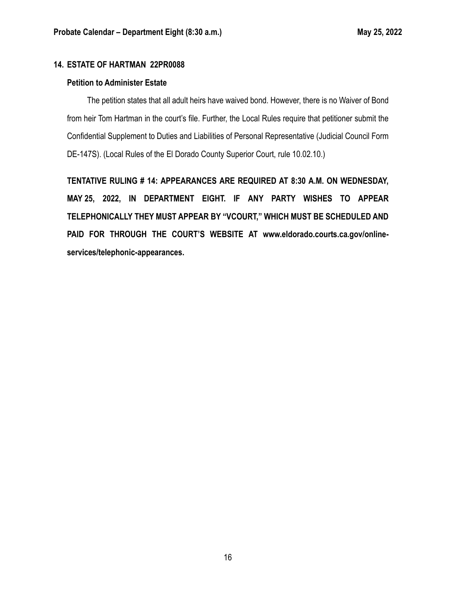# **14. ESTATE OF HARTMAN 22PR0088**

#### **Petition to Administer Estate**

The petition states that all adult heirs have waived bond. However, there is no Waiver of Bond from heir Tom Hartman in the court's file. Further, the Local Rules require that petitioner submit the Confidential Supplement to Duties and Liabilities of Personal Representative (Judicial Council Form DE-147S). (Local Rules of the El Dorado County Superior Court, rule 10.02.10.)

**TENTATIVE RULING # 14: APPEARANCES ARE REQUIRED AT 8:30 A.M. ON WEDNESDAY, MAY 25, 2022, IN DEPARTMENT EIGHT. IF ANY PARTY WISHES TO APPEAR TELEPHONICALLY THEY MUST APPEAR BY "VCOURT," WHICH MUST BE SCHEDULED AND PAID FOR THROUGH THE COURT'S WEBSITE AT www.eldorado.courts.ca.gov/onlineservices/telephonic-appearances.**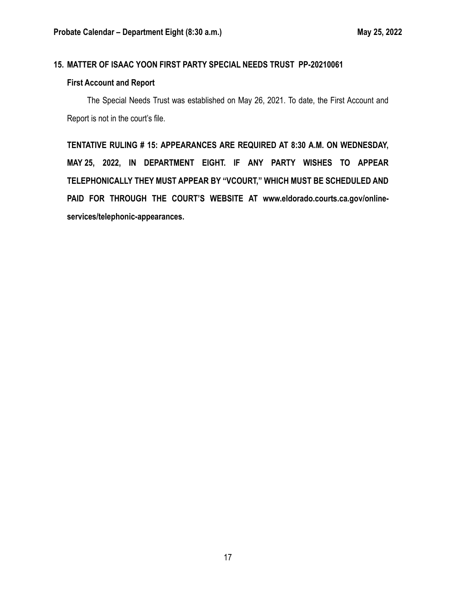### **15. MATTER OF ISAAC YOON FIRST PARTY SPECIAL NEEDS TRUST PP-20210061**

#### **First Account and Report**

The Special Needs Trust was established on May 26, 2021. To date, the First Account and Report is not in the court's file.

**TENTATIVE RULING # 15: APPEARANCES ARE REQUIRED AT 8:30 A.M. ON WEDNESDAY, MAY 25, 2022, IN DEPARTMENT EIGHT. IF ANY PARTY WISHES TO APPEAR TELEPHONICALLY THEY MUST APPEAR BY "VCOURT," WHICH MUST BE SCHEDULED AND PAID FOR THROUGH THE COURT'S WEBSITE AT www.eldorado.courts.ca.gov/onlineservices/telephonic-appearances.**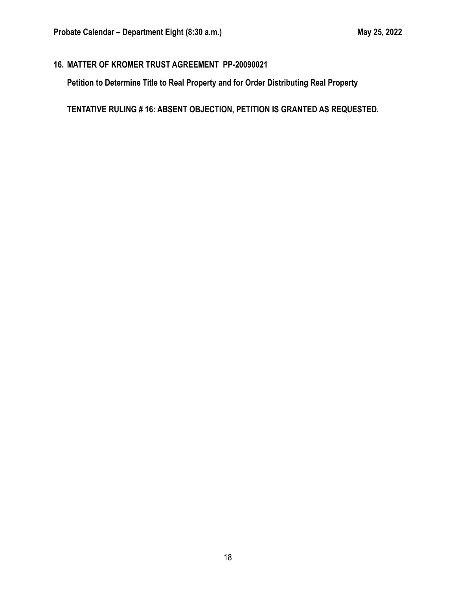# **16. MATTER OF KROMER TRUST AGREEMENT PP-20090021**

**Petition to Determine Title to Real Property and for Order Distributing Real Property**

**TENTATIVE RULING # 16: ABSENT OBJECTION, PETITION IS GRANTED AS REQUESTED.**